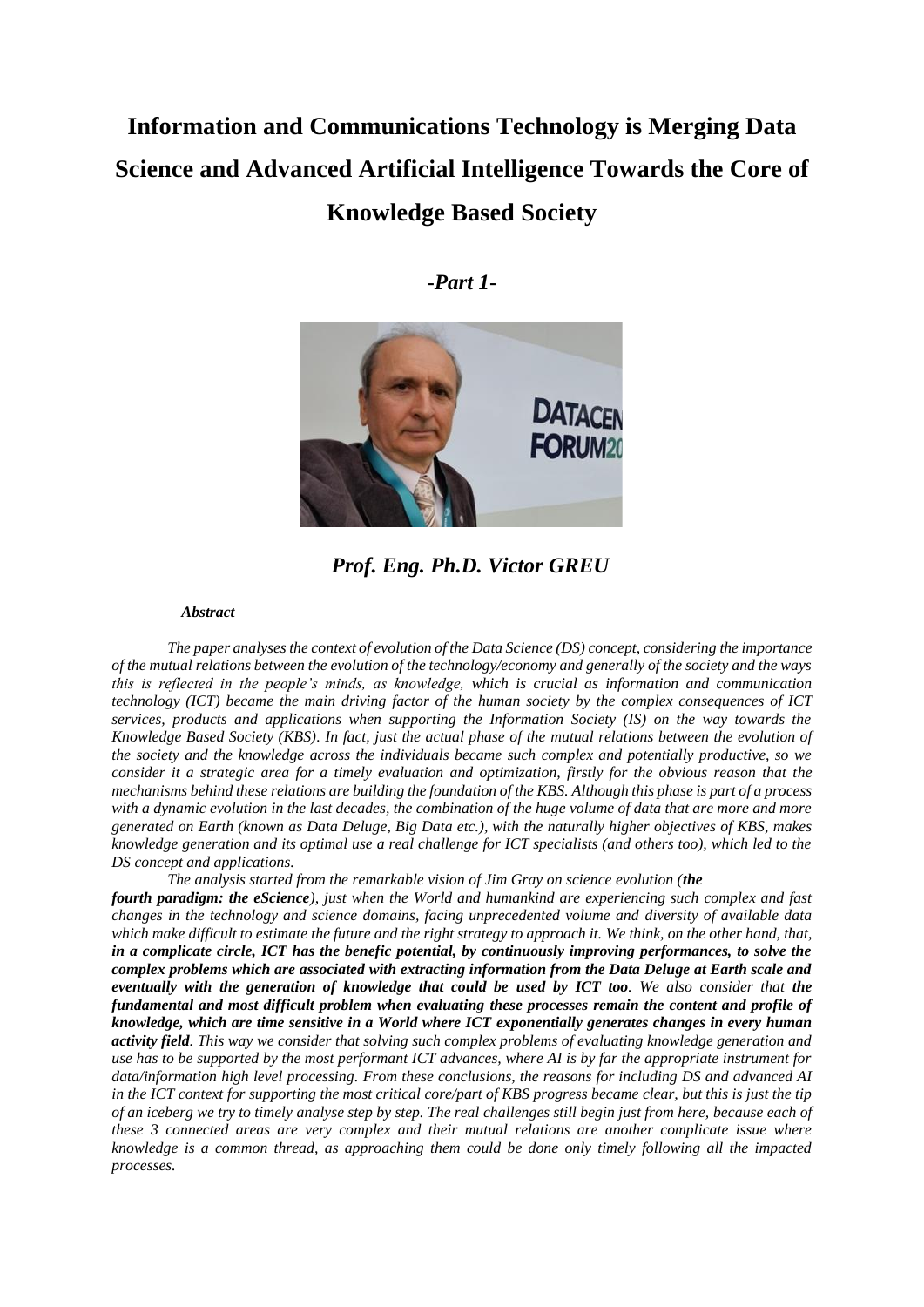# **Information and Communications Technology is Merging Data Science and Advanced Artificial Intelligence Towards the Core of Knowledge Based Society**

## **-***Part 1***-**



*Prof. Eng. Ph.D. Victor GREU*

#### *Abstract*

*The paper analyses the context of evolution of the Data Science (DS) concept, considering the importance of the mutual relations between the evolution of the technology/economy and generally of the society and the ways this is reflected in the people's minds, as knowledge, which is crucial as information and communication technology (ICT) became the main driving factor of the human society by the complex consequences of ICT services, products and applications when supporting the Information Society (IS) on the way towards the Knowledge Based Society (KBS). In fact, just the actual phase of the mutual relations between the evolution of the society and the knowledge across the individuals became such complex and potentially productive, so we consider it a strategic area for a timely evaluation and optimization, firstly for the obvious reason that the mechanisms behind these relations are building the foundation of the KBS. Although this phase is part of a process*  with a dynamic evolution in the last decades, the combination of the huge volume of data that are more and more *generated on Earth (known as Data Deluge, Big Data etc.), with the naturally higher objectives of KBS, makes knowledge generation and its optimal use a real challenge for ICT specialists (and others too), which led to the DS concept and applications.*

*The analysis started from the remarkable vision of Jim Gray on science evolution (the*

*fourth paradigm: the eScience), just when the World and humankind are experiencing such complex and fast changes in the technology and science domains, facing unprecedented volume and diversity of available data which make difficult to estimate the future and the right strategy to approach it. We think, on the other hand, that, in a complicate circle, ICT has the benefic potential, by continuously improving performances, to solve the complex problems which are associated with extracting information from the Data Deluge at Earth scale and eventually with the generation of knowledge that could be used by ICT too. We also consider that the fundamental and most difficult problem when evaluating these processes remain the content and profile of knowledge, which are time sensitive in a World where ICT exponentially generates changes in every human activity field. This way we consider that solving such complex problems of evaluating knowledge generation and use has to be supported by the most performant ICT advances, where AI is by far the appropriate instrument for data/information high level processing. From these conclusions, the reasons for including DS and advanced AI in the ICT context for supporting the most critical core/part of KBS progress became clear, but this is just the tip of an iceberg we try to timely analyse step by step. The real challenges still begin just from here, because each of these 3 connected areas are very complex and their mutual relations are another complicate issue where knowledge is a common thread, as approaching them could be done only timely following all the impacted processes.*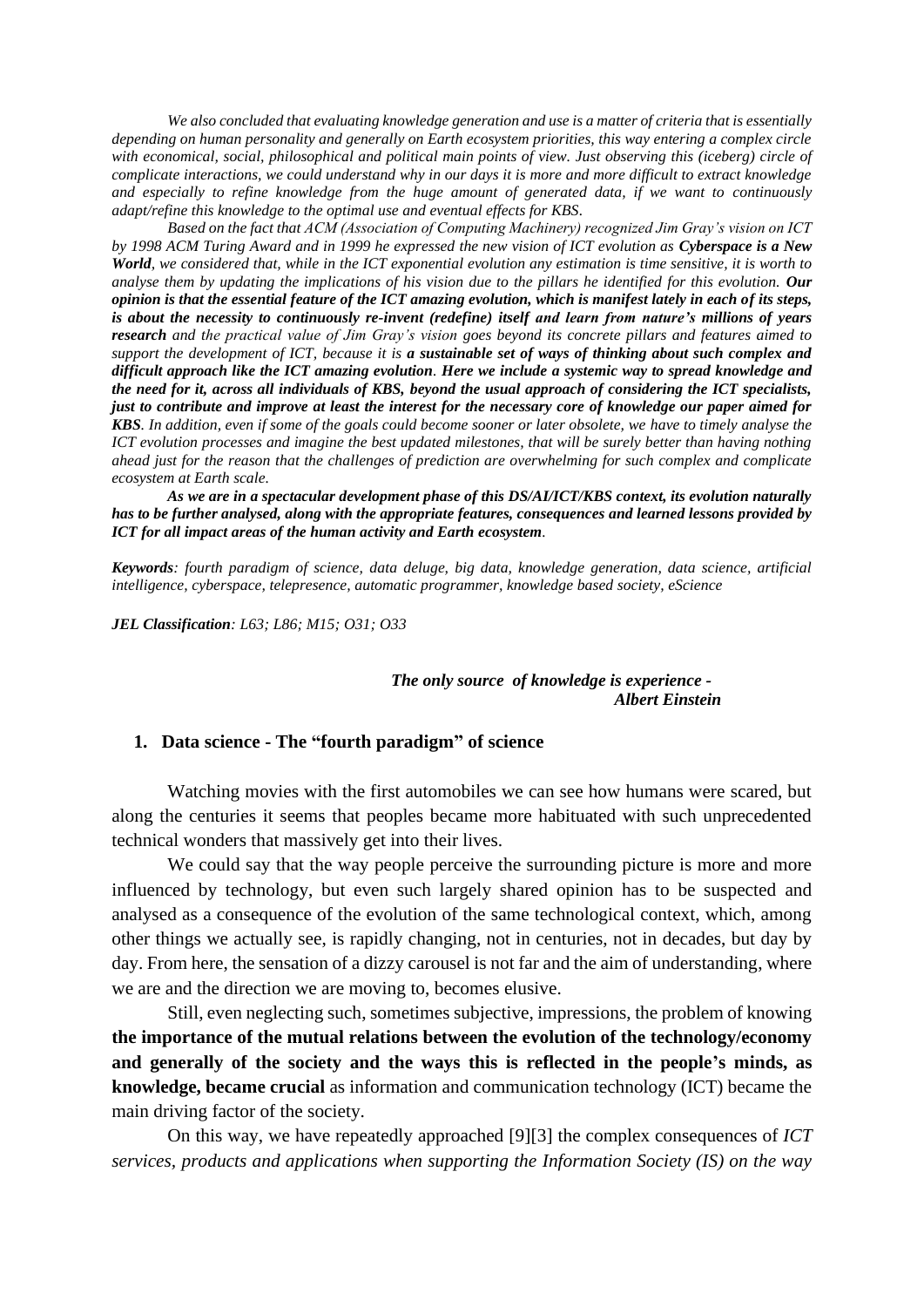*We also concluded that evaluating knowledge generation and use is a matter of criteria that is essentially depending on human personality and generally on Earth ecosystem priorities, this way entering a complex circle*  with economical, social, philosophical and political main points of view. Just observing this (iceberg) circle of *complicate interactions, we could understand why in our days it is more and more difficult to extract knowledge and especially to refine knowledge from the huge amount of generated data, if we want to continuously adapt/refine this knowledge to the optimal use and eventual effects for KBS.*

*Based on the fact that ACM (Association of Computing Machinery) recognized Jim Gray's vision on ICT by 1998 ACM Turing Award and in 1999 he expressed the new vision of ICT evolution as Cyberspace is a New World, we considered that, while in the ICT exponential evolution any estimation is time sensitive, it is worth to analyse them by updating the implications of his vision due to the pillars he identified for this evolution. Our opinion is that the essential feature of the ICT amazing evolution, which is manifest lately in each of its steps, is about the necessity to continuously re-invent (redefine) itself and learn from nature's millions of years research and the practical value of Jim Gray's vision goes beyond its concrete pillars and features aimed to support the development of ICT, because it is a sustainable set of ways of thinking about such complex and difficult approach like the ICT amazing evolution. Here we include a systemic way to spread knowledge and the need for it, across all individuals of KBS, beyond the usual approach of considering the ICT specialists, just to contribute and improve at least the interest for the necessary core of knowledge our paper aimed for KBS. In addition, even if some of the goals could become sooner or later obsolete, we have to timely analyse the ICT evolution processes and imagine the best updated milestones, that will be surely better than having nothing ahead just for the reason that the challenges of prediction are overwhelming for such complex and complicate ecosystem at Earth scale.*

*As we are in a spectacular development phase of this DS/AI/ICT/KBS context, its evolution naturally has to be further analysed, along with the appropriate features, consequences and learned lessons provided by ICT for all impact areas of the human activity and Earth ecosystem.*

*Keywords: fourth paradigm of science, data deluge, big data, knowledge generation, data science, artificial intelligence, cyberspace, telepresence, automatic programmer, knowledge based society, eScience*

*JEL Classification: L63; L86; M15; O31; O33*

#### *The only source of knowledge is experience - Albert Einstein*

## **1. Data science - The "fourth paradigm" of science**

Watching movies with the first automobiles we can see how humans were scared, but along the centuries it seems that peoples became more habituated with such unprecedented technical wonders that massively get into their lives.

We could say that the way people perceive the surrounding picture is more and more influenced by technology, but even such largely shared opinion has to be suspected and analysed as a consequence of the evolution of the same technological context, which, among other things we actually see, is rapidly changing, not in centuries, not in decades, but day by day. From here, the sensation of a dizzy carousel is not far and the aim of understanding, where we are and the direction we are moving to, becomes elusive.

Still, even neglecting such, sometimes subjective, impressions, the problem of knowing **the importance of the mutual relations between the evolution of the technology/economy and generally of the society and the ways this is reflected in the people's minds, as knowledge, became crucial** as information and communication technology (ICT) became the main driving factor of the society.

On this way, we have repeatedly approached [9][3] the complex consequences of *ICT services, products and applications when supporting the Information Society (IS) on the way*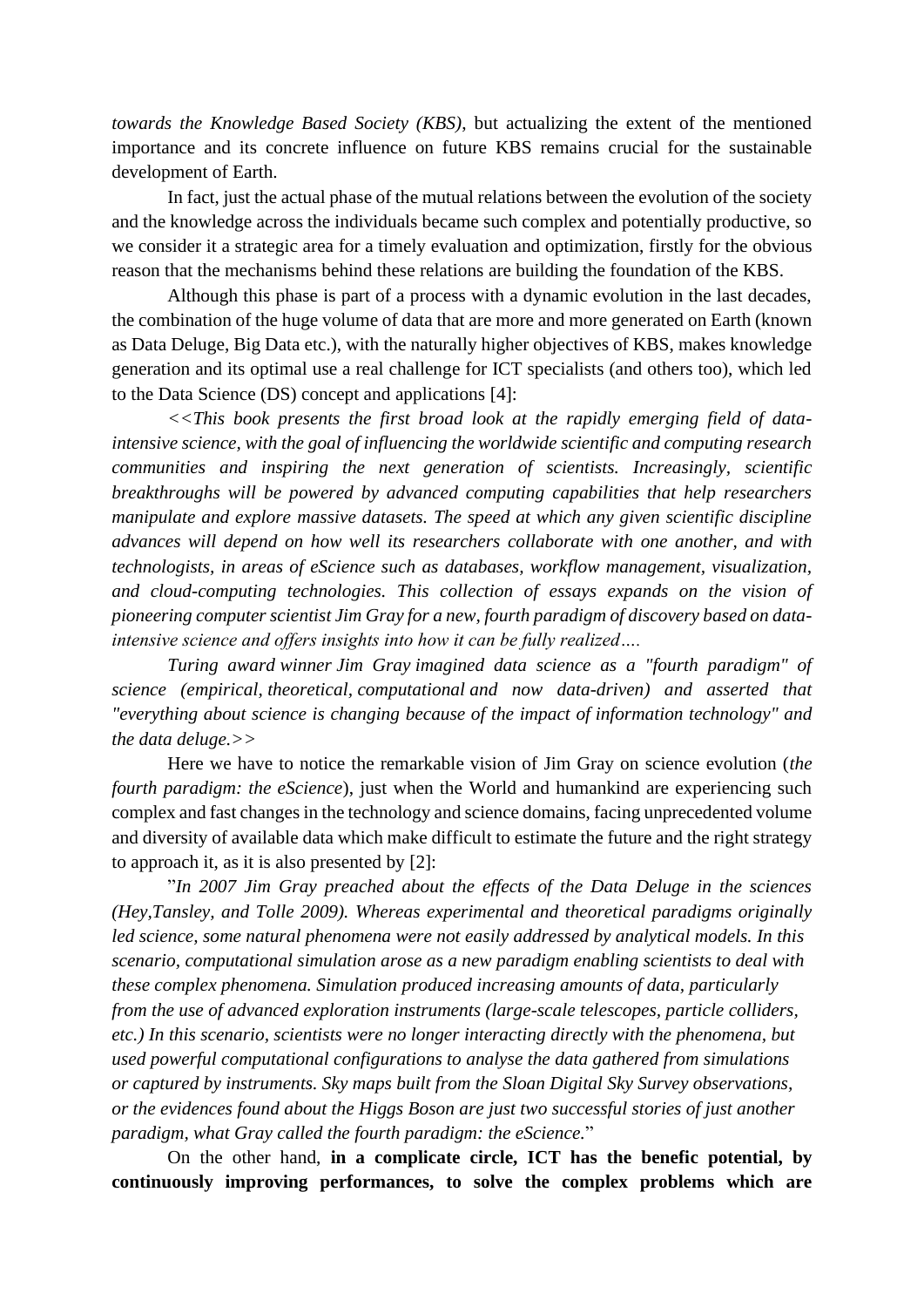*towards the Knowledge Based Society (KBS)*, but actualizing the extent of the mentioned importance and its concrete influence on future KBS remains crucial for the sustainable development of Earth.

In fact, just the actual phase of the mutual relations between the evolution of the society and the knowledge across the individuals became such complex and potentially productive, so we consider it a strategic area for a timely evaluation and optimization, firstly for the obvious reason that the mechanisms behind these relations are building the foundation of the KBS.

Although this phase is part of a process with a dynamic evolution in the last decades, the combination of the huge volume of data that are more and more generated on Earth (known as Data Deluge, Big Data etc.), with the naturally higher objectives of KBS, makes knowledge generation and its optimal use a real challenge for ICT specialists (and others too), which led to the Data Science (DS) concept and applications [4]:

*<<This book presents the first broad look at the rapidly emerging field of dataintensive science, with the goal of influencing the worldwide scientific and computing research communities and inspiring the next generation of scientists. Increasingly, scientific breakthroughs will be powered by advanced computing capabilities that help researchers manipulate and explore massive datasets. The speed at which any given scientific discipline advances will depend on how well its researchers collaborate with one another, and with technologists, in areas of eScience such as databases, workflow management, visualization, and cloud-computing technologies. This collection of essays expands on the vision of pioneering computer scientist Jim Gray for a new, fourth paradigm of discovery based on dataintensive science and offers insights into how it can be fully realized….*

*[Turing award](https://en.wikipedia.org/wiki/Turing_award) winner [Jim Gray](https://en.wikipedia.org/wiki/Jim_Gray_(computer_scientist)) imagined data science as a "fourth paradigm" of science [\(empirical,](https://en.wikipedia.org/wiki/Empirical_research) [theoretical,](https://en.wikipedia.org/wiki/Basic_research) [computational](https://en.wikipedia.org/wiki/Computational_science) and now data-driven) and asserted that "everything about science is changing because of the impact of [information technology"](https://en.wikipedia.org/wiki/Information_technology) and the [data deluge.](https://en.wikipedia.org/wiki/Information_explosion)>>*

Here we have to notice the remarkable vision of Jim Gray on science evolution (*the fourth paradigm: the eScience*), just when the World and humankind are experiencing such complex and fast changes in the technology and science domains, facing unprecedented volume and diversity of available data which make difficult to estimate the future and the right strategy to approach it, as it is also presented by [2]:

"*In 2007 Jim Gray preached about the effects of the Data Deluge in the sciences (Hey,Tansley, and Tolle 2009). Whereas experimental and theoretical paradigms originally led science, some natural phenomena were not easily addressed by analytical models. In this scenario, computational simulation arose as a new paradigm enabling scientists to deal with these complex phenomena. Simulation produced increasing amounts of data, particularly from the use of advanced exploration instruments (large-scale telescopes, particle colliders, etc.) In this scenario, scientists were no longer interacting directly with the phenomena, but used powerful computational configurations to analyse the data gathered from simulations or captured by instruments. Sky maps built from the Sloan Digital Sky Survey observations, or the evidences found about the Higgs Boson are just two successful stories of just another paradigm, what Gray called the fourth paradigm: the eScience.*"

On the other hand, **in a complicate circle, ICT has the benefic potential, by continuously improving performances, to solve the complex problems which are**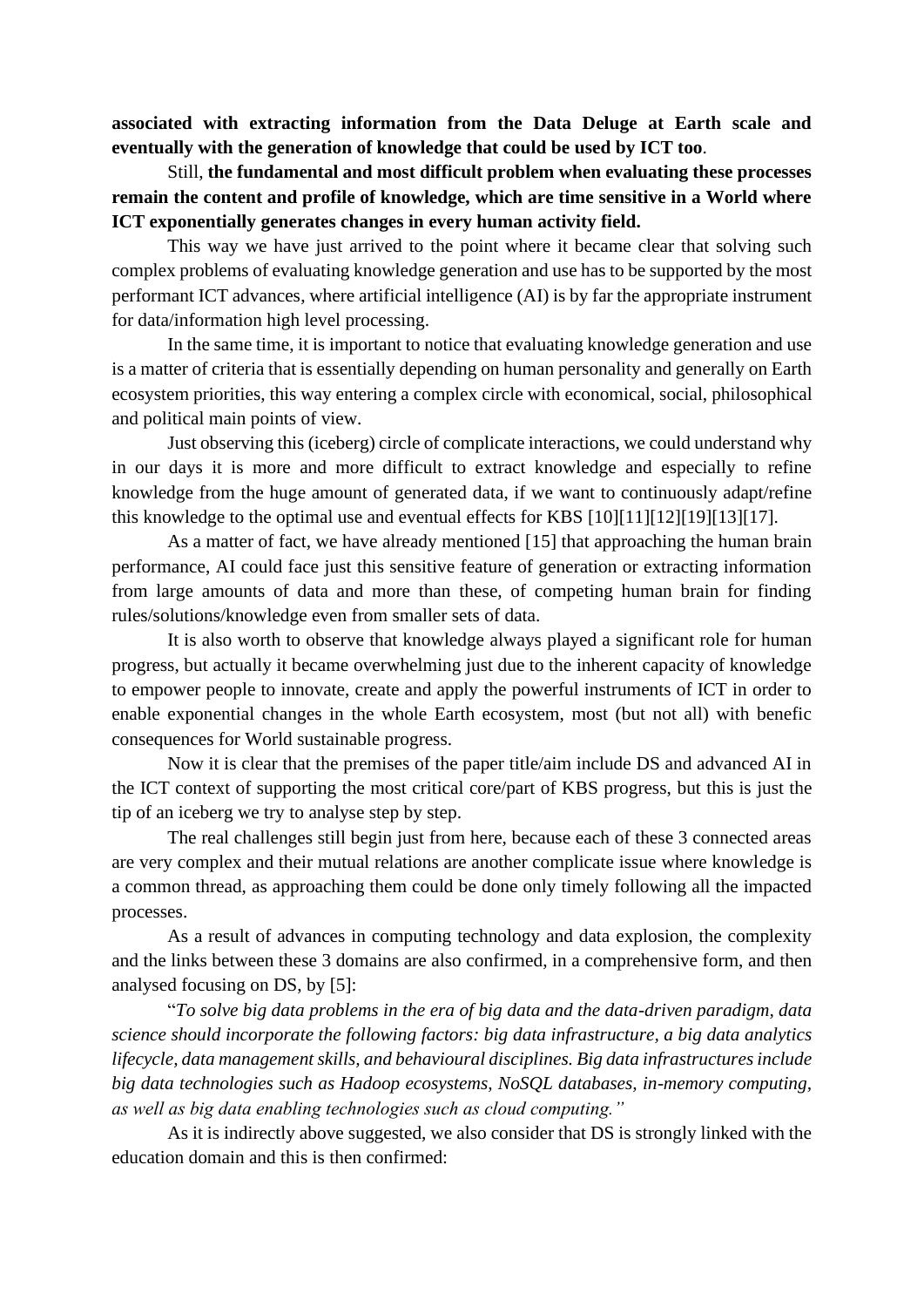**associated with extracting information from the Data Deluge at Earth scale and eventually with the generation of knowledge that could be used by ICT too**.

Still, **the fundamental and most difficult problem when evaluating these processes remain the content and profile of knowledge, which are time sensitive in a World where ICT exponentially generates changes in every human activity field.**

This way we have just arrived to the point where it became clear that solving such complex problems of evaluating knowledge generation and use has to be supported by the most performant ICT advances, where artificial intelligence (AI) is by far the appropriate instrument for data/information high level processing.

In the same time, it is important to notice that evaluating knowledge generation and use is a matter of criteria that is essentially depending on human personality and generally on Earth ecosystem priorities, this way entering a complex circle with economical, social, philosophical and political main points of view.

Just observing this (iceberg) circle of complicate interactions, we could understand why in our days it is more and more difficult to extract knowledge and especially to refine knowledge from the huge amount of generated data, if we want to continuously adapt/refine this knowledge to the optimal use and eventual effects for KBS [10][11][12][19][13][17].

As a matter of fact, we have already mentioned [15] that approaching the human brain performance, AI could face just this sensitive feature of generation or extracting information from large amounts of data and more than these, of competing human brain for finding rules/solutions/knowledge even from smaller sets of data.

It is also worth to observe that knowledge always played a significant role for human progress, but actually it became overwhelming just due to the inherent capacity of knowledge to empower people to innovate, create and apply the powerful instruments of ICT in order to enable exponential changes in the whole Earth ecosystem, most (but not all) with benefic consequences for World sustainable progress.

Now it is clear that the premises of the paper title/aim include DS and advanced AI in the ICT context of supporting the most critical core/part of KBS progress, but this is just the tip of an iceberg we try to analyse step by step.

The real challenges still begin just from here, because each of these 3 connected areas are very complex and their mutual relations are another complicate issue where knowledge is a common thread, as approaching them could be done only timely following all the impacted processes.

As a result of advances in computing technology and data explosion, the complexity and the links between these 3 domains are also confirmed, in a comprehensive form, and then analysed focusing on DS, by [5]:

"*To solve big data problems in the era of big data and the data-driven paradigm, data science should incorporate the following factors: big data infrastructure, a big data analytics lifecycle, data management skills, and behavioural disciplines. Big data infrastructures include big data technologies such as Hadoop ecosystems, NoSQL databases, in-memory computing, as well as big data enabling technologies such as cloud computing."*

As it is indirectly above suggested, we also consider that DS is strongly linked with the education domain and this is then confirmed: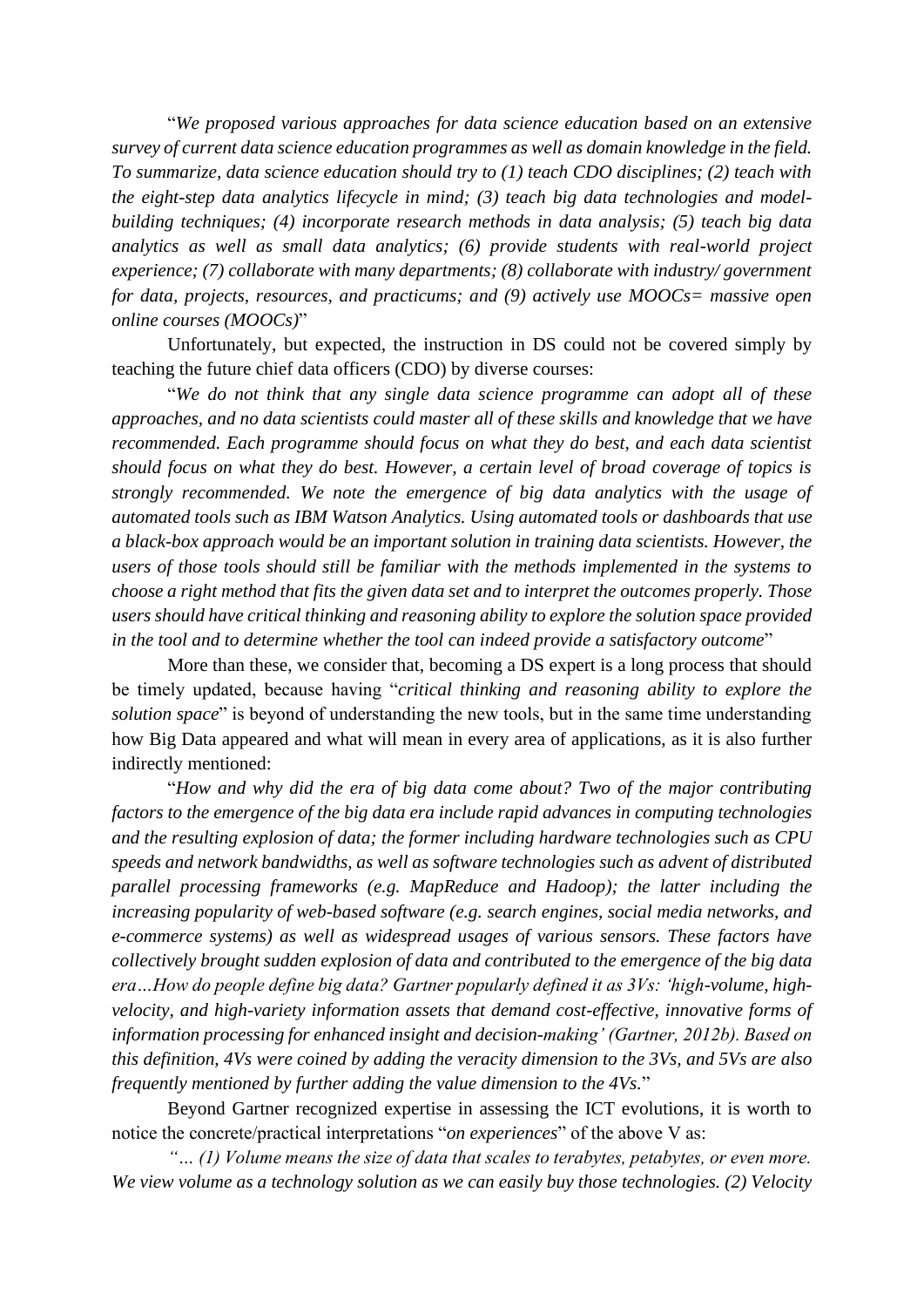"*We proposed various approaches for data science education based on an extensive survey of current data science education programmes as well as domain knowledge in the field. To summarize, data science education should try to (1) teach CDO disciplines; (2) teach with the eight-step data analytics lifecycle in mind; (3) teach big data technologies and modelbuilding techniques; (4) incorporate research methods in data analysis; (5) teach big data analytics as well as small data analytics; (6) provide students with real-world project experience; (7) collaborate with many departments; (8) collaborate with industry/ government for data, projects, resources, and practicums; and (9) actively use MOOCs= massive open online courses (MOOCs)*"

Unfortunately, but expected, the instruction in DS could not be covered simply by teaching the future chief data officers (CDO) by diverse courses:

"*We do not think that any single data science programme can adopt all of these approaches, and no data scientists could master all of these skills and knowledge that we have recommended. Each programme should focus on what they do best, and each data scientist should focus on what they do best. However, a certain level of broad coverage of topics is strongly recommended. We note the emergence of big data analytics with the usage of automated tools such as IBM Watson Analytics. Using automated tools or dashboards that use a black-box approach would be an important solution in training data scientists. However, the users of those tools should still be familiar with the methods implemented in the systems to choose a right method that fits the given data set and to interpret the outcomes properly. Those users should have critical thinking and reasoning ability to explore the solution space provided in the tool and to determine whether the tool can indeed provide a satisfactory outcome*"

More than these, we consider that, becoming a DS expert is a long process that should be timely updated, because having "*critical thinking and reasoning ability to explore the solution space*" is beyond of understanding the new tools, but in the same time understanding how Big Data appeared and what will mean in every area of applications, as it is also further indirectly mentioned:

"*How and why did the era of big data come about? Two of the major contributing factors to the emergence of the big data era include rapid advances in computing technologies and the resulting explosion of data; the former including hardware technologies such as CPU speeds and network bandwidths, as well as software technologies such as advent of distributed parallel processing frameworks (e.g. MapReduce and Hadoop); the latter including the increasing popularity of web-based software (e.g. search engines, social media networks, and e-commerce systems) as well as widespread usages of various sensors. These factors have collectively brought sudden explosion of data and contributed to the emergence of the big data era…How do people define big data? Gartner popularly defined it as 3Vs: 'high-volume, highvelocity, and high-variety information assets that demand cost-effective, innovative forms of information processing for enhanced insight and decision-making' (Gartner, 2012b). Based on this definition, 4Vs were coined by adding the veracity dimension to the 3Vs, and 5Vs are also frequently mentioned by further adding the value dimension to the 4Vs.*"

Beyond Gartner recognized expertise in assessing the ICT evolutions, it is worth to notice the concrete/practical interpretations "*on experiences*" of the above V as:

*"… (1) Volume means the size of data that scales to terabytes, petabytes, or even more. We view volume as a technology solution as we can easily buy those technologies. (2) Velocity*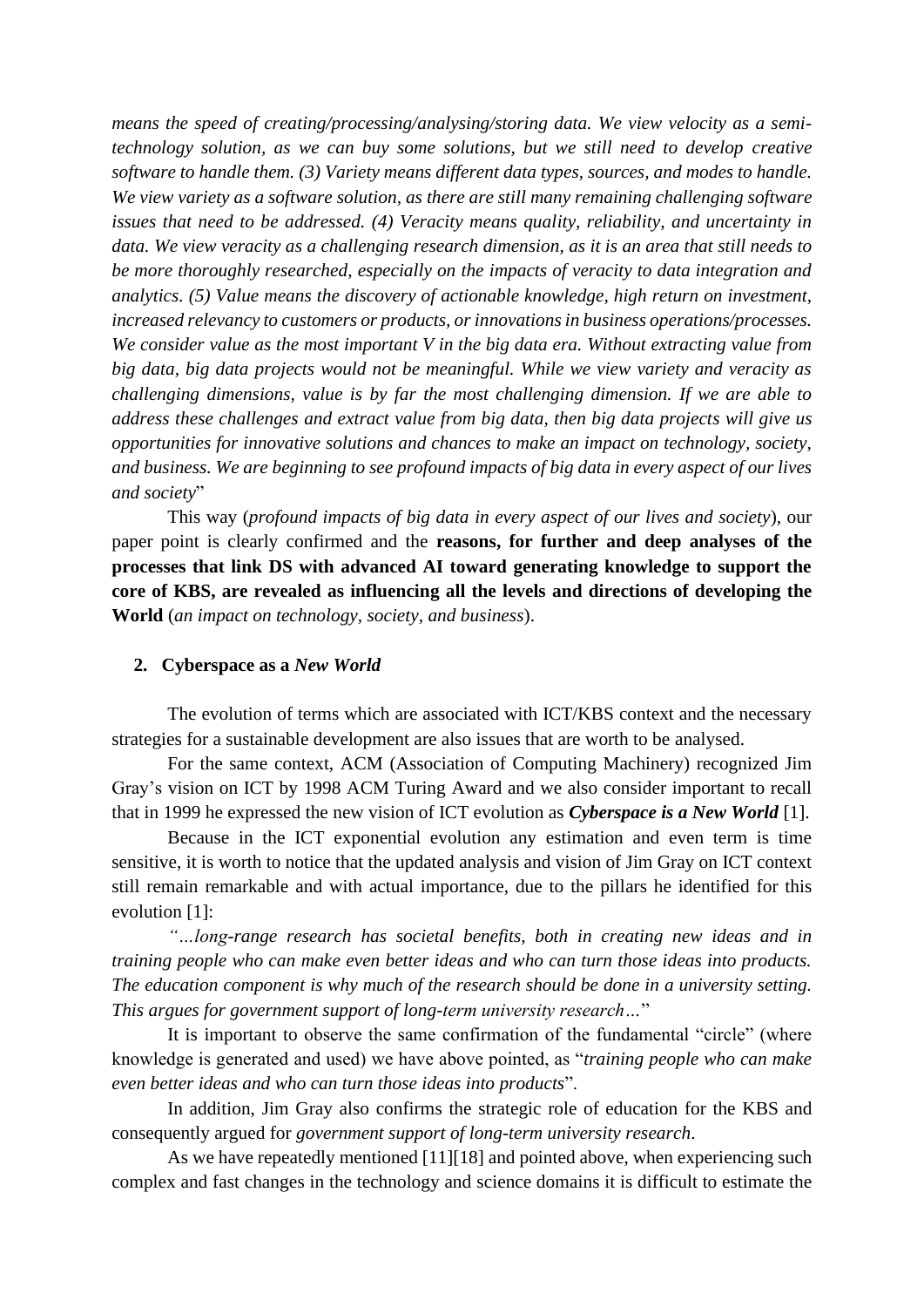*means the speed of creating/processing/analysing/storing data. We view velocity as a semitechnology solution, as we can buy some solutions, but we still need to develop creative software to handle them. (3) Variety means different data types, sources, and modes to handle. We view variety as a software solution, as there are still many remaining challenging software issues that need to be addressed. (4) Veracity means quality, reliability, and uncertainty in data. We view veracity as a challenging research dimension, as it is an area that still needs to be more thoroughly researched, especially on the impacts of veracity to data integration and analytics. (5) Value means the discovery of actionable knowledge, high return on investment, increased relevancy to customers or products, or innovations in business operations/processes. We consider value as the most important V in the big data era. Without extracting value from big data, big data projects would not be meaningful. While we view variety and veracity as challenging dimensions, value is by far the most challenging dimension. If we are able to address these challenges and extract value from big data, then big data projects will give us opportunities for innovative solutions and chances to make an impact on technology, society, and business. We are beginning to see profound impacts of big data in every aspect of our lives and society*"

This way (*profound impacts of big data in every aspect of our lives and society*), our paper point is clearly confirmed and the **reasons, for further and deep analyses of the processes that link DS with advanced AI toward generating knowledge to support the core of KBS, are revealed as influencing all the levels and directions of developing the World** (*an impact on technology, society, and business*).

## **2. Cyberspace as a** *New World*

The evolution of terms which are associated with ICT/KBS context and the necessary strategies for a sustainable development are also issues that are worth to be analysed.

For the same context, ACM (Association of Computing Machinery) recognized Jim Gray's vision on ICT by 1998 ACM Turing Award and we also consider important to recall that in 1999 he expressed the new vision of ICT evolution as *Cyberspace is a New World* [1].

Because in the ICT exponential evolution any estimation and even term is time sensitive, it is worth to notice that the updated analysis and vision of Jim Gray on ICT context still remain remarkable and with actual importance, due to the pillars he identified for this evolution [1]:

*"…long-range research has societal benefits, both in creating new ideas and in training people who can make even better ideas and who can turn those ideas into products. The education component is why much of the research should be done in a university setting. This argues for government support of long-term university research…*"

It is important to observe the same confirmation of the fundamental "circle" (where knowledge is generated and used) we have above pointed, as "*training people who can make even better ideas and who can turn those ideas into products*".

In addition, Jim Gray also confirms the strategic role of education for the KBS and consequently argued for *government support of long-term university research*.

As we have repeatedly mentioned [11][18] and pointed above, when experiencing such complex and fast changes in the technology and science domains it is difficult to estimate the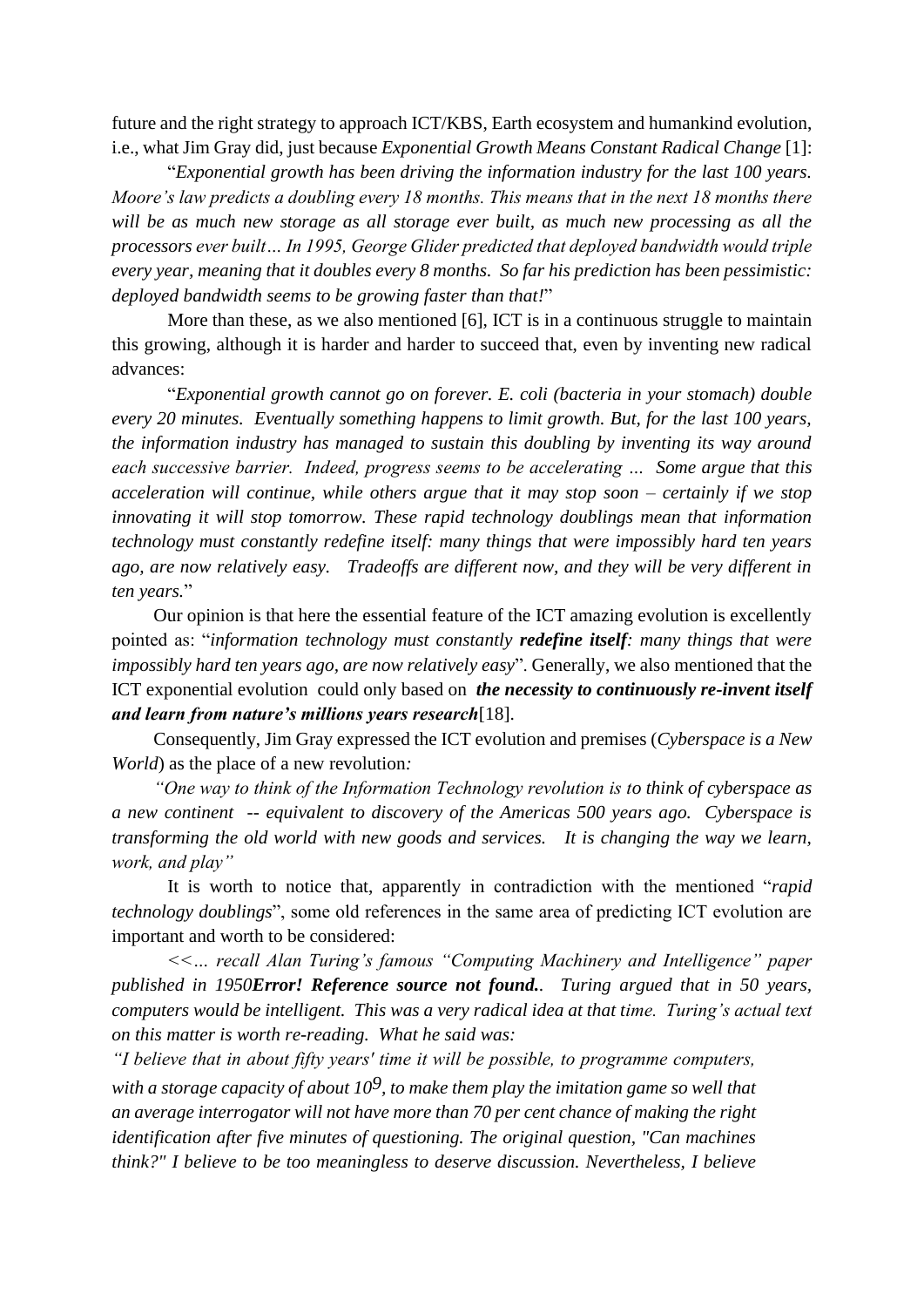future and the right strategy to approach ICT/KBS, Earth ecosystem and humankind evolution, i.e., what Jim Gray did, just because *Exponential Growth Means Constant Radical Change* [1]:

"*Exponential growth has been driving the information industry for the last 100 years. Moore's law predicts a doubling every 18 months. This means that in the next 18 months there will be as much new storage as all storage ever built, as much new processing as all the processors ever built… In 1995, George Glider predicted that deployed bandwidth would triple every year, meaning that it doubles every 8 months. So far his prediction has been pessimistic: deployed bandwidth seems to be growing faster than that!*"

More than these, as we also mentioned [6], ICT is in a continuous struggle to maintain this growing, although it is harder and harder to succeed that, even by inventing new radical advances:

"*Exponential growth cannot go on forever. E. coli (bacteria in your stomach) double every 20 minutes. Eventually something happens to limit growth. But, for the last 100 years, the information industry has managed to sustain this doubling by inventing its way around each successive barrier. Indeed, progress seems to be accelerating … Some argue that this acceleration will continue, while others argue that it may stop soon – certainly if we stop innovating it will stop tomorrow. These rapid technology doublings mean that information technology must constantly redefine itself: many things that were impossibly hard ten years ago, are now relatively easy. Tradeoffs are different now, and they will be very different in ten years.*"

Our opinion is that here the essential feature of the ICT amazing evolution is excellently pointed as: "*information technology must constantly redefine itself: many things that were impossibly hard ten years ago, are now relatively easy*". Generally, we also mentioned that the ICT exponential evolution could only based on *the necessity to continuously re-invent itself and learn from nature's millions years research*[18].

Consequently, Jim Gray expressed the ICT evolution and premises (*Cyberspace is a New World*) as the place of a new revolution*:*

*"One way to think of the Information Technology revolution is to think of cyberspace as a new continent -- equivalent to discovery of the Americas 500 years ago. Cyberspace is transforming the old world with new goods and services. It is changing the way we learn, work, and play"*

It is worth to notice that, apparently in contradiction with the mentioned "*rapid technology doublings*", some old references in the same area of predicting ICT evolution are important and worth to be considered:

*<<… recall Alan Turing's famous "Computing Machinery and Intelligence" paper published in 1950Error! Reference source not found.. Turing argued that in 50 years, computers would be intelligent. This was a very radical idea at that time. Turing's actual text on this matter is worth re-reading. What he said was:*

*"I believe that in about fifty years' time it will be possible, to programme computers, with a storage capacity of about 109, to make them play the imitation game so well that an average interrogator will not have more than 70 per cent chance of making the right identification after five minutes of questioning. The original question, "Can machines think?" I believe to be too meaningless to deserve discussion. Nevertheless, I believe*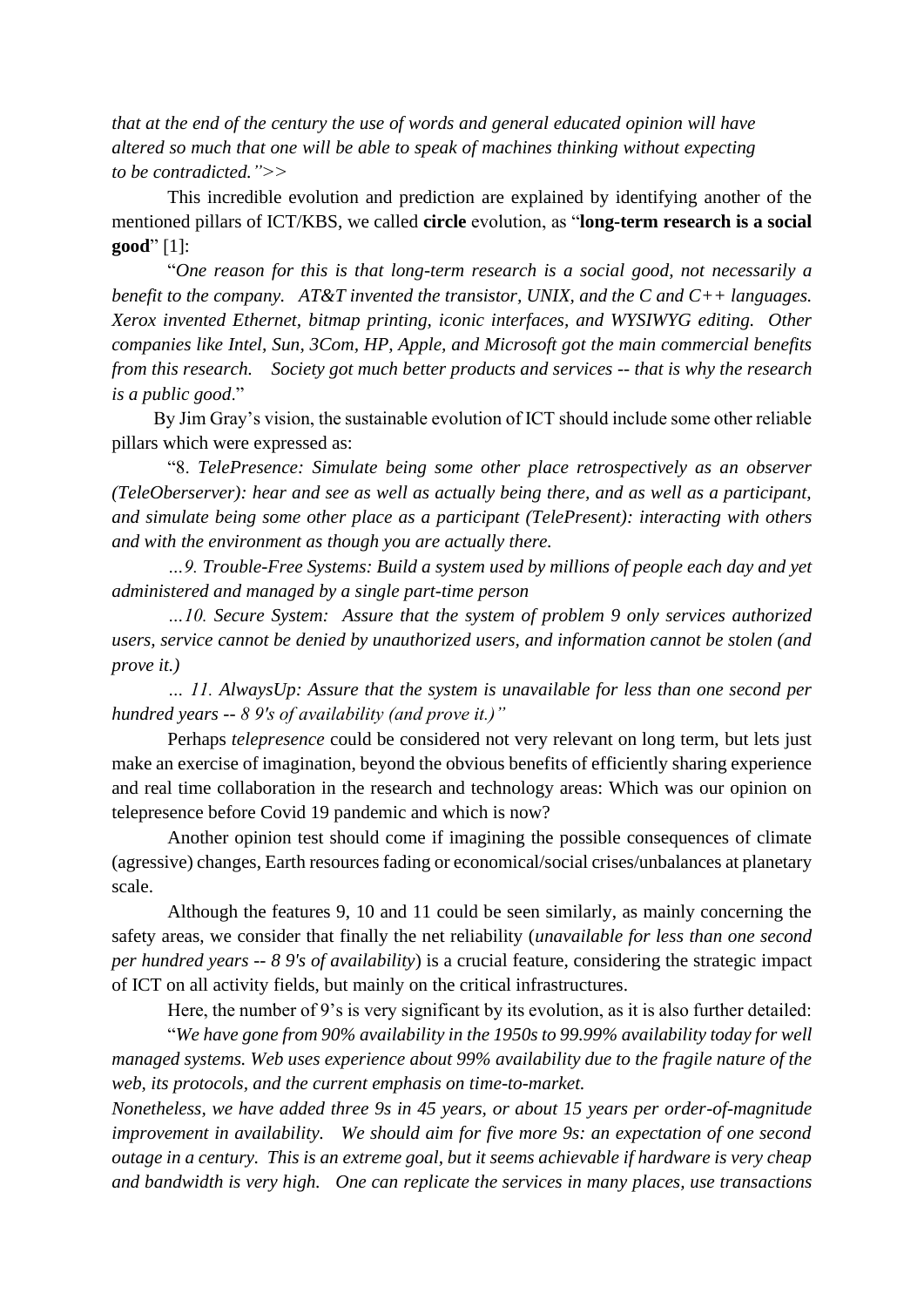*that at the end of the century the use of words and general educated opinion will have altered so much that one will be able to speak of machines thinking without expecting to be contradicted.">>*

This incredible evolution and prediction are explained by identifying another of the mentioned pillars of ICT/KBS, we called **circle** evolution, as "**long-term research is a social good**" [1]:

"*One reason for this is that long-term research is a social good, not necessarily a benefit to the company. AT&T invented the transistor, UNIX, and the C and C++ languages. Xerox invented Ethernet, bitmap printing, iconic interfaces, and WYSIWYG editing. Other companies like Intel, Sun, 3Com, HP, Apple, and Microsoft got the main commercial benefits from this research. Society got much better products and services -- that is why the research is a public good*."

By Jim Gray's vision, the sustainable evolution of ICT should include some other reliable pillars which were expressed as:

"8. *TelePresence: Simulate being some other place retrospectively as an observer (TeleOberserver): hear and see as well as actually being there, and as well as a participant, and simulate being some other place as a participant (TelePresent): interacting with others and with the environment as though you are actually there.*

*…9. Trouble-Free Systems: Build a system used by millions of people each day and yet administered and managed by a single part-time person*

*…10. Secure System: Assure that the system of problem 9 only services authorized users, service cannot be denied by unauthorized users, and information cannot be stolen (and prove it.)*

*… 11. AlwaysUp: Assure that the system is unavailable for less than one second per hundred years -- 8 9's of availability (and prove it.)"*

Perhaps *telepresence* could be considered not very relevant on long term, but lets just make an exercise of imagination, beyond the obvious benefits of efficiently sharing experience and real time collaboration in the research and technology areas: Which was our opinion on telepresence before Covid 19 pandemic and which is now?

Another opinion test should come if imagining the possible consequences of climate (agressive) changes, Earth resources fading or economical/social crises/unbalances at planetary scale.

Although the features 9, 10 and 11 could be seen similarly, as mainly concerning the safety areas, we consider that finally the net reliability (*unavailable for less than one second per hundred years -- 8 9's of availability*) is a crucial feature, considering the strategic impact of ICT on all activity fields, but mainly on the critical infrastructures.

Here, the number of 9's is very significant by its evolution, as it is also further detailed:

"*We have gone from 90% availability in the 1950s to 99.99% availability today for well managed systems. Web uses experience about 99% availability due to the fragile nature of the web, its protocols, and the current emphasis on time-to-market.*

*Nonetheless, we have added three 9s in 45 years, or about 15 years per order-of-magnitude improvement in availability. We should aim for five more 9s: an expectation of one second outage in a century. This is an extreme goal, but it seems achievable if hardware is very cheap and bandwidth is very high. One can replicate the services in many places, use transactions*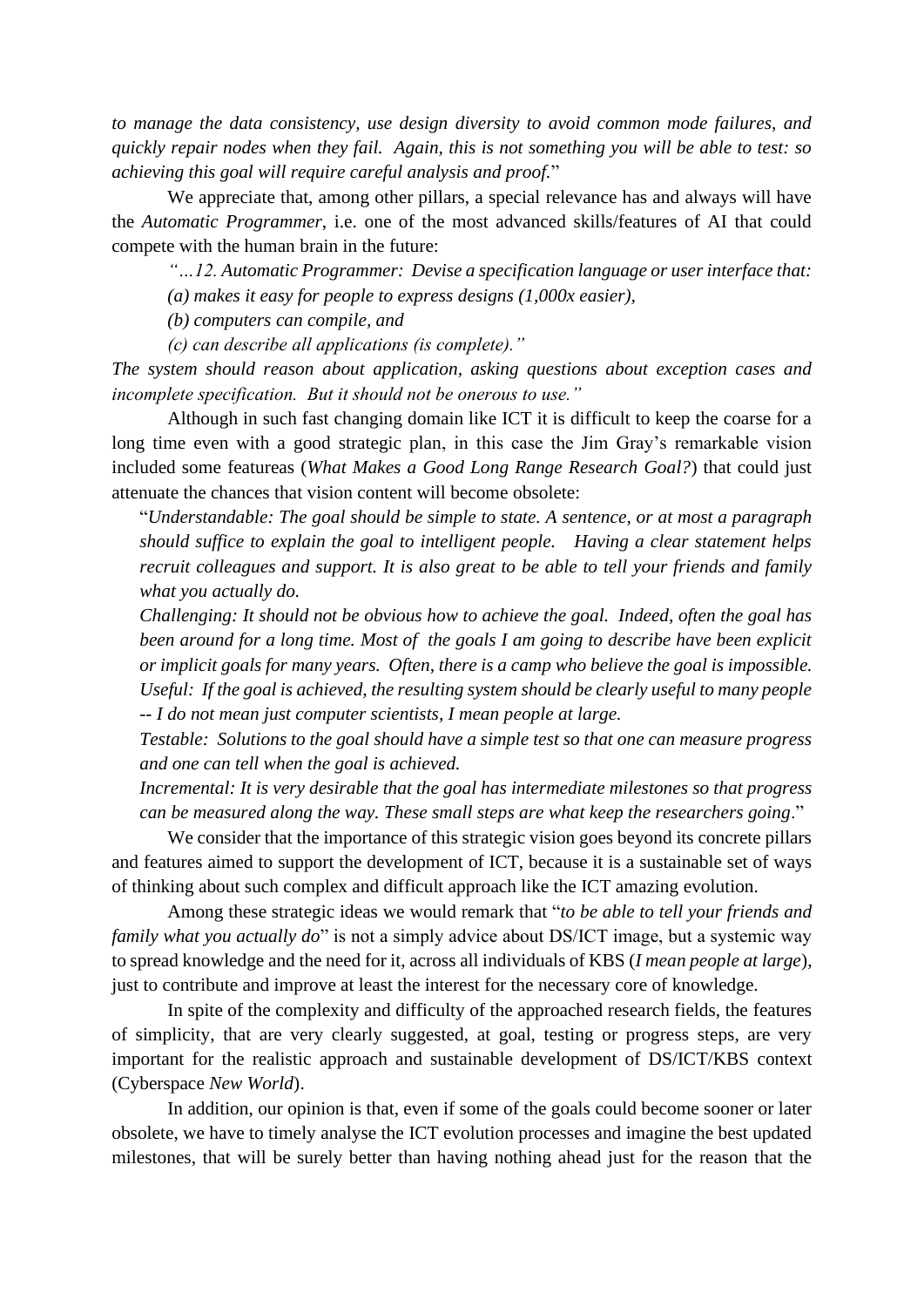*to manage the data consistency, use design diversity to avoid common mode failures, and quickly repair nodes when they fail. Again, this is not something you will be able to test: so achieving this goal will require careful analysis and proof.*"

We appreciate that, among other pillars, a special relevance has and always will have the *Automatic Programmer*, i.e. one of the most advanced skills/features of AI that could compete with the human brain in the future:

*"…12. Automatic Programmer: Devise a specification language or user interface that: (a) makes it easy for people to express designs (1,000x easier),* 

*(b) computers can compile, and* 

*(c) can describe all applications (is complete)."*

*The system should reason about application, asking questions about exception cases and incomplete specification. But it should not be onerous to use."*

Although in such fast changing domain like ICT it is difficult to keep the coarse for a long time even with a good strategic plan, in this case the Jim Gray's remarkable vision included some featureas (*What Makes a Good Long Range Research Goal?*) that could just attenuate the chances that vision content will become obsolete:

"*Understandable: The goal should be simple to state. A sentence, or at most a paragraph should suffice to explain the goal to intelligent people. Having a clear statement helps recruit colleagues and support. It is also great to be able to tell your friends and family what you actually do.*

*Challenging: It should not be obvious how to achieve the goal. Indeed, often the goal has been around for a long time. Most of the goals I am going to describe have been explicit or implicit goals for many years. Often, there is a camp who believe the goal is impossible. Useful: If the goal is achieved, the resulting system should be clearly useful to many people -- I do not mean just computer scientists, I mean people at large.*

*Testable: Solutions to the goal should have a simple test so that one can measure progress and one can tell when the goal is achieved.*

*Incremental: It is very desirable that the goal has intermediate milestones so that progress can be measured along the way. These small steps are what keep the researchers going*."

We consider that the importance of this strategic vision goes beyond its concrete pillars and features aimed to support the development of ICT, because it is a sustainable set of ways of thinking about such complex and difficult approach like the ICT amazing evolution.

Among these strategic ideas we would remark that "*to be able to tell your friends and family what you actually do*" is not a simply advice about DS/ICT image, but a systemic way to spread knowledge and the need for it, across all individuals of KBS (*I mean people at large*), just to contribute and improve at least the interest for the necessary core of knowledge.

In spite of the complexity and difficulty of the approached research fields, the features of simplicity, that are very clearly suggested, at goal, testing or progress steps, are very important for the realistic approach and sustainable development of DS/ICT/KBS context (Cyberspace *New World*).

In addition, our opinion is that, even if some of the goals could become sooner or later obsolete, we have to timely analyse the ICT evolution processes and imagine the best updated milestones, that will be surely better than having nothing ahead just for the reason that the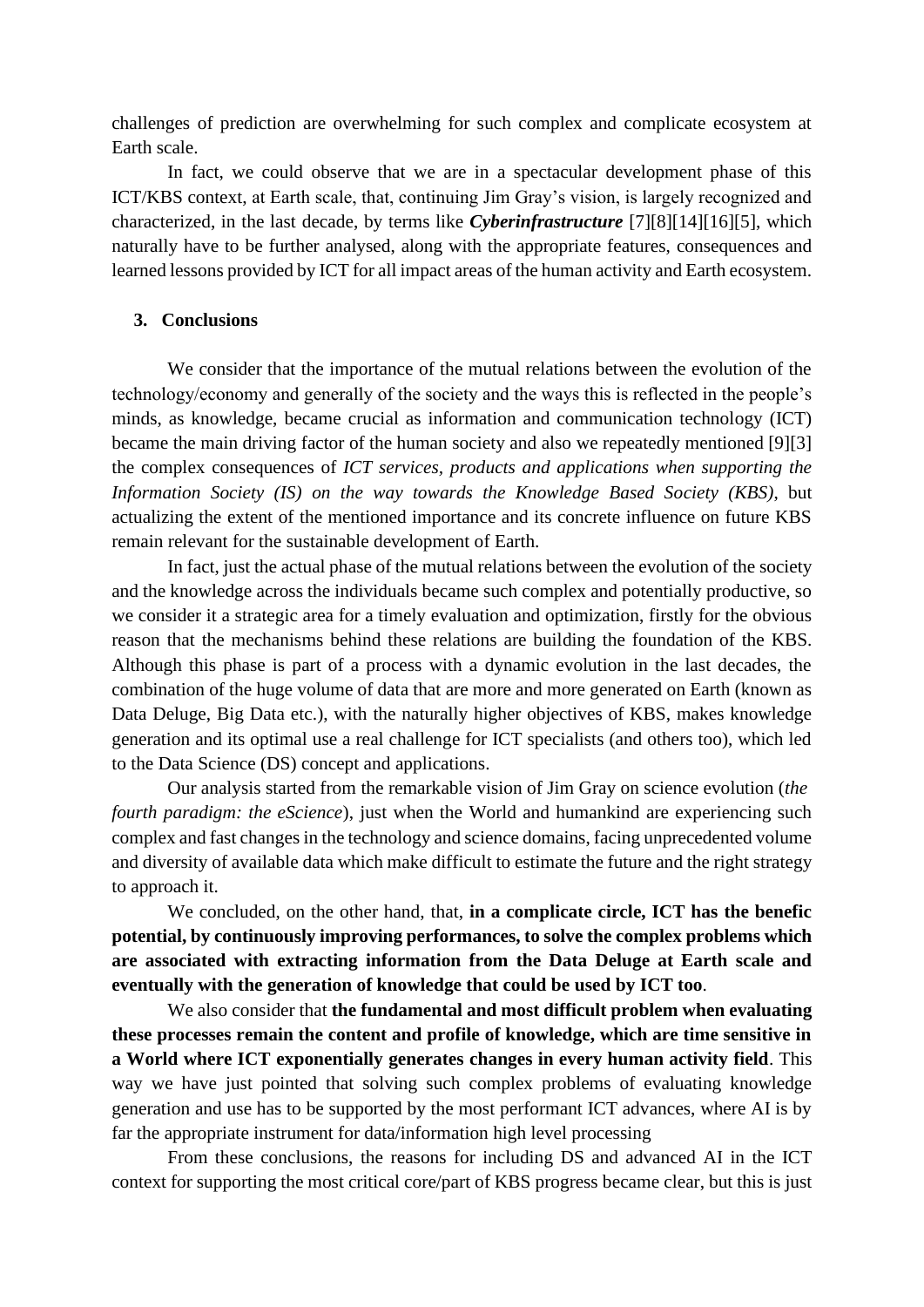challenges of prediction are overwhelming for such complex and complicate ecosystem at Earth scale.

In fact, we could observe that we are in a spectacular development phase of this ICT/KBS context, at Earth scale, that, continuing Jim Gray's vision, is largely recognized and characterized, in the last decade, by terms like *Cyberinfrastructure* [7][8][14][16][5], which naturally have to be further analysed, along with the appropriate features, consequences and learned lessons provided by ICT for all impact areas of the human activity and Earth ecosystem.

## **3. Conclusions**

We consider that the importance of the mutual relations between the evolution of the technology/economy and generally of the society and the ways this is reflected in the people's minds, as knowledge, became crucial as information and communication technology (ICT) became the main driving factor of the human society and also we repeatedly mentioned [9][3] the complex consequences of *ICT services, products and applications when supporting the Information Society (IS) on the way towards the Knowledge Based Society (KBS)*, but actualizing the extent of the mentioned importance and its concrete influence on future KBS remain relevant for the sustainable development of Earth.

In fact, just the actual phase of the mutual relations between the evolution of the society and the knowledge across the individuals became such complex and potentially productive, so we consider it a strategic area for a timely evaluation and optimization, firstly for the obvious reason that the mechanisms behind these relations are building the foundation of the KBS. Although this phase is part of a process with a dynamic evolution in the last decades, the combination of the huge volume of data that are more and more generated on Earth (known as Data Deluge, Big Data etc.), with the naturally higher objectives of KBS, makes knowledge generation and its optimal use a real challenge for ICT specialists (and others too), which led to the Data Science (DS) concept and applications.

Our analysis started from the remarkable vision of Jim Gray on science evolution (*the fourth paradigm: the eScience*), just when the World and humankind are experiencing such complex and fast changes in the technology and science domains, facing unprecedented volume and diversity of available data which make difficult to estimate the future and the right strategy to approach it.

We concluded, on the other hand, that, **in a complicate circle, ICT has the benefic potential, by continuously improving performances, to solve the complex problems which are associated with extracting information from the Data Deluge at Earth scale and eventually with the generation of knowledge that could be used by ICT too**.

We also consider that **the fundamental and most difficult problem when evaluating these processes remain the content and profile of knowledge, which are time sensitive in a World where ICT exponentially generates changes in every human activity field**. This way we have just pointed that solving such complex problems of evaluating knowledge generation and use has to be supported by the most performant ICT advances, where AI is by far the appropriate instrument for data/information high level processing

From these conclusions, the reasons for including DS and advanced AI in the ICT context for supporting the most critical core/part of KBS progress became clear, but this is just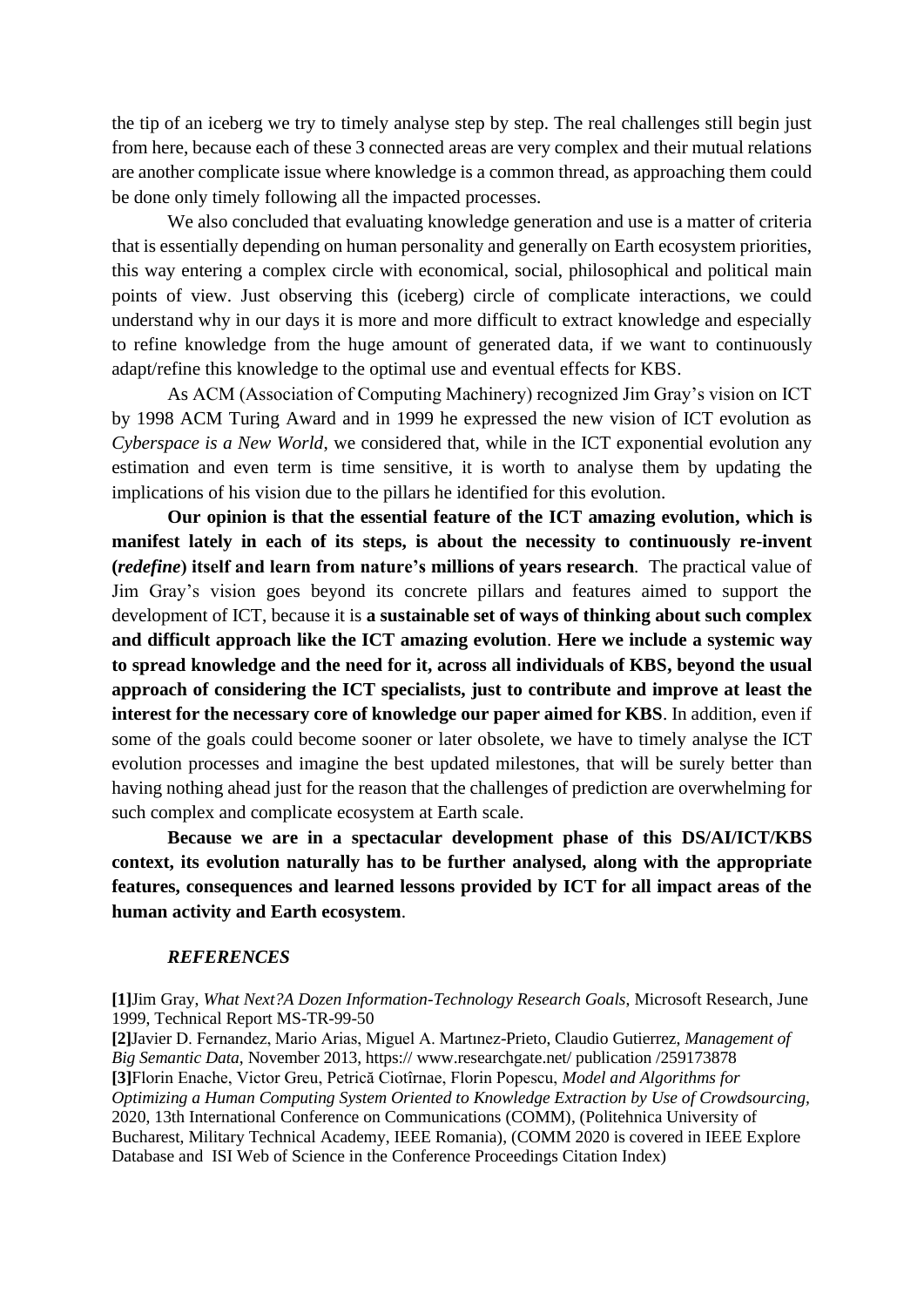the tip of an iceberg we try to timely analyse step by step. The real challenges still begin just from here, because each of these 3 connected areas are very complex and their mutual relations are another complicate issue where knowledge is a common thread, as approaching them could be done only timely following all the impacted processes.

We also concluded that evaluating knowledge generation and use is a matter of criteria that is essentially depending on human personality and generally on Earth ecosystem priorities, this way entering a complex circle with economical, social, philosophical and political main points of view. Just observing this (iceberg) circle of complicate interactions, we could understand why in our days it is more and more difficult to extract knowledge and especially to refine knowledge from the huge amount of generated data, if we want to continuously adapt/refine this knowledge to the optimal use and eventual effects for KBS.

As ACM (Association of Computing Machinery) recognized Jim Gray's vision on ICT by 1998 ACM Turing Award and in 1999 he expressed the new vision of ICT evolution as *Cyberspace is a New World*, we considered that, while in the ICT exponential evolution any estimation and even term is time sensitive, it is worth to analyse them by updating the implications of his vision due to the pillars he identified for this evolution.

**Our opinion is that the essential feature of the ICT amazing evolution, which is manifest lately in each of its steps, is about the necessity to continuously re-invent (***redefine***) itself and learn from nature's millions of years research***.* The practical value of Jim Gray's vision goes beyond its concrete pillars and features aimed to support the development of ICT, because it is **a sustainable set of ways of thinking about such complex and difficult approach like the ICT amazing evolution**. **Here we include a systemic way to spread knowledge and the need for it, across all individuals of KBS, beyond the usual approach of considering the ICT specialists, just to contribute and improve at least the interest for the necessary core of knowledge our paper aimed for KBS**. In addition, even if some of the goals could become sooner or later obsolete, we have to timely analyse the ICT evolution processes and imagine the best updated milestones, that will be surely better than having nothing ahead just for the reason that the challenges of prediction are overwhelming for such complex and complicate ecosystem at Earth scale.

**Because we are in a spectacular development phase of this DS/AI/ICT/KBS context, its evolution naturally has to be further analysed, along with the appropriate features, consequences and learned lessons provided by ICT for all impact areas of the human activity and Earth ecosystem**.

### *REFERENCES*

**[1]**Jim Gray, *What Next?A Dozen Information-Technology Research Goals*, Microsoft Research, June 1999, Technical Report MS-TR-99-50

**[2]**Javier D. Fernandez, Mario Arias, Miguel A. Martınez-Prieto, Claudio Gutierrez, *Management of Big Semantic Data*, November 2013, https:// www.researchgate.net/ publication /259173878 **[3]**Florin Enache, Victor Greu, Petrică Ciotîrnae, Florin Popescu, *Model and Algorithms for Optimizing a Human Computing System Oriented to Knowledge Extraction by Use of Crowdsourcing,*  [2020, 13th International Conference on Communications \(COMM\),](https://ieeexplore.ieee.org/xpl/conhome/9139890/proceeding) (Politehnica University of Bucharest, Military Technical Academy, IEEE Romania), (COMM 2020 is covered in IEEE Explore Database and ISI Web of Science in the Conference Proceedings Citation Index)